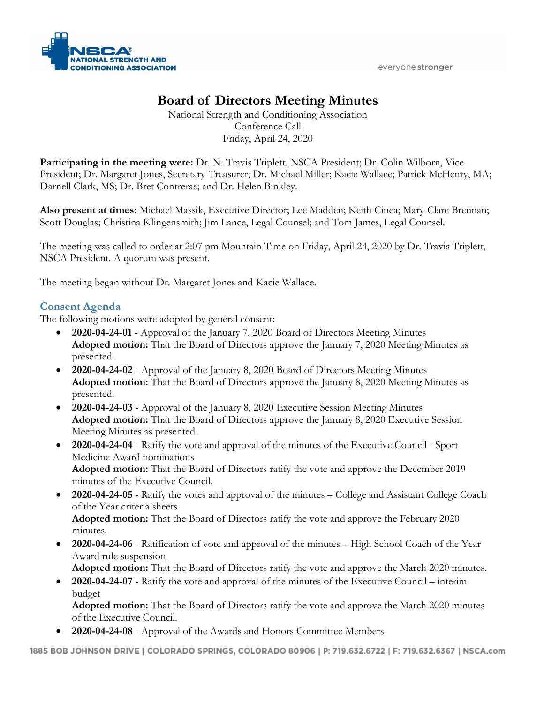

# **Board of Directors Meeting Minutes**

National Strength and Conditioning Association Conference Call Friday, April 24, 2020

**Participating in the meeting were:** Dr. N. Travis Triplett, NSCA President; Dr. Colin Wilborn, Vice President; Dr. Margaret Jones, Secretary-Treasurer; Dr. Michael Miller; Kacie Wallace; Patrick McHenry, MA; Darnell Clark, MS; Dr. Bret Contreras; and Dr. Helen Binkley.

**Also present at times:** Michael Massik, Executive Director; Lee Madden; Keith Cinea; Mary-Clare Brennan; Scott Douglas; Christina Klingensmith; Jim Lance, Legal Counsel; and Tom James, Legal Counsel.

The meeting was called to order at 2:07 pm Mountain Time on Friday, April 24, 2020 by Dr. Travis Triplett, NSCA President. A quorum was present.

The meeting began without Dr. Margaret Jones and Kacie Wallace.

# **Consent Agenda**

The following motions were adopted by general consent:

- **2020-04-24-01** Approval of the January 7, 2020 Board of Directors Meeting Minutes **Adopted motion:** That the Board of Directors approve the January 7, 2020 Meeting Minutes as presented.
- **2020-04-24-02** Approval of the January 8, 2020 Board of Directors Meeting Minutes **Adopted motion:** That the Board of Directors approve the January 8, 2020 Meeting Minutes as presented.
- **2020-04-24-03** Approval of the January 8, 2020 Executive Session Meeting Minutes **Adopted motion:** That the Board of Directors approve the January 8, 2020 Executive Session Meeting Minutes as presented.
- **2020-04-24-04** Ratify the vote and approval of the minutes of the Executive Council Sport Medicine Award nominations **Adopted motion:** That the Board of Directors ratify the vote and approve the December 2019 minutes of the Executive Council.
- **2020-04-24-05** Ratify the votes and approval of the minutes College and Assistant College Coach of the Year criteria sheets **Adopted motion:** That the Board of Directors ratify the vote and approve the February 2020

minutes.

• **2020-04-24-06** - Ratification of vote and approval of the minutes – High School Coach of the Year Award rule suspension

**Adopted motion:** That the Board of Directors ratify the vote and approve the March 2020 minutes.

• **2020-04-24-07** - Ratify the vote and approval of the minutes of the Executive Council – interim budget

**Adopted motion:** That the Board of Directors ratify the vote and approve the March 2020 minutes of the Executive Council.

• **2020-04-24-08** - Approval of the Awards and Honors Committee Members

1885 BOB JOHNSON DRIVE | COLORADO SPRINGS, COLORADO 80906 | P: 719.632.6722 | F: 719.632.6367 | NSCA.com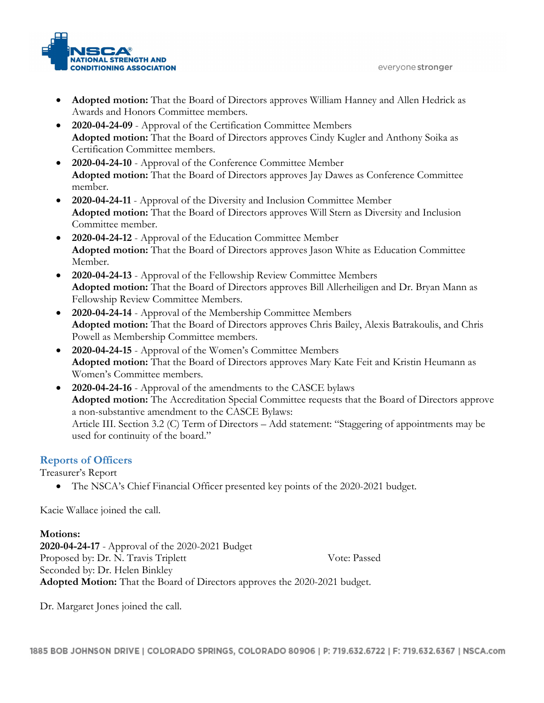

- **Adopted motion:** That the Board of Directors approves William Hanney and Allen Hedrick as Awards and Honors Committee members.
- **2020-04-24-09** Approval of the Certification Committee Members **Adopted motion:** That the Board of Directors approves Cindy Kugler and Anthony Soika as Certification Committee members.
- **2020-04-24-10** Approval of the Conference Committee Member **Adopted motion:** That the Board of Directors approves Jay Dawes as Conference Committee member.
- **2020-04-24-11** Approval of the Diversity and Inclusion Committee Member **Adopted motion:** That the Board of Directors approves Will Stern as Diversity and Inclusion Committee member.
- **2020-04-24-12** Approval of the Education Committee Member **Adopted motion:** That the Board of Directors approves Jason White as Education Committee Member.
- **2020-04-24-13** Approval of the Fellowship Review Committee Members **Adopted motion:** That the Board of Directors approves Bill Allerheiligen and Dr. Bryan Mann as Fellowship Review Committee Members.
- **2020-04-24-14** Approval of the Membership Committee Members **Adopted motion:** That the Board of Directors approves Chris Bailey, Alexis Batrakoulis, and Chris Powell as Membership Committee members.
- **2020-04-24-15** Approval of the Women's Committee Members **Adopted motion:** That the Board of Directors approves Mary Kate Feit and Kristin Heumann as Women's Committee members.
- **2020-04-24-16** Approval of the amendments to the CASCE bylaws **Adopted motion:** The Accreditation Special Committee requests that the Board of Directors approve a non-substantive amendment to the CASCE Bylaws: Article III. Section 3.2 (C) Term of Directors – Add statement: "Staggering of appointments may be used for continuity of the board."

# **Reports of Officers**

Treasurer's Report

• The NSCA's Chief Financial Officer presented key points of the 2020-2021 budget.

Kacie Wallace joined the call.

## **Motions:**

**2020-04-24-17** - Approval of the 2020-2021 Budget Proposed by: Dr. N. Travis Triplett Vote: Passed Seconded by: Dr. Helen Binkley **Adopted Motion:** That the Board of Directors approves the 2020-2021 budget.

Dr. Margaret Jones joined the call.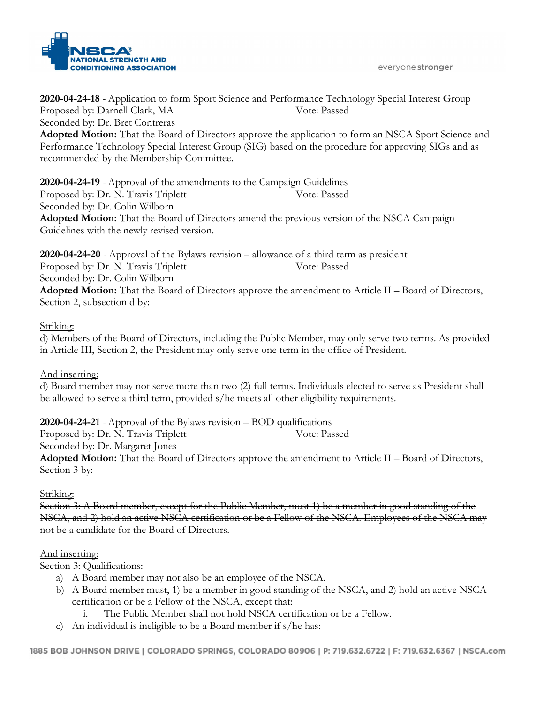

**2020-04-24-18** - Application to form Sport Science and Performance Technology Special Interest Group Proposed by: Darnell Clark, MA Vote: Passed Seconded by: Dr. Bret Contreras **Adopted Motion:** That the Board of Directors approve the application to form an NSCA Sport Science and Performance Technology Special Interest Group (SIG) based on the procedure for approving SIGs and as recommended by the Membership Committee.

**2020-04-24-19** - Approval of the amendments to the Campaign Guidelines Proposed by: Dr. N. Travis Triplett Vote: Passed Seconded by: Dr. Colin Wilborn **Adopted Motion:** That the Board of Directors amend the previous version of the NSCA Campaign Guidelines with the newly revised version.

**2020-04-24-20** - Approval of the Bylaws revision – allowance of a third term as president Proposed by: Dr. N. Travis Triplett Vote: Passed Seconded by: Dr. Colin Wilborn **Adopted Motion:** That the Board of Directors approve the amendment to Article II – Board of Directors, Section 2, subsection d by:

## Striking:

d) Members of the Board of Directors, including the Public Member, may only serve two terms. As provided in Article III, Section 2, the President may only serve one term in the office of President.

#### And inserting:

d) Board member may not serve more than two (2) full terms. Individuals elected to serve as President shall be allowed to serve a third term, provided s/he meets all other eligibility requirements.

**2020-04-24-21** - Approval of the Bylaws revision – BOD qualifications Proposed by: Dr. N. Travis Triplett Vote: Passed Seconded by: Dr. Margaret Jones **Adopted Motion:** That the Board of Directors approve the amendment to Article II – Board of Directors,

Section 3 by:

#### Striking:

Section 3: A Board member, except for the Public Member, must 1) be a member in good standing of the NSCA, and 2) hold an active NSCA certification or be a Fellow of the NSCA. Employees of the NSCA may not be a candidate for the Board of Directors.

#### And inserting:

Section 3: Qualifications:

- a) A Board member may not also be an employee of the NSCA.
- b) A Board member must, 1) be a member in good standing of the NSCA, and 2) hold an active NSCA certification or be a Fellow of the NSCA, except that:
	- i. The Public Member shall not hold NSCA certification or be a Fellow.
- c) An individual is ineligible to be a Board member if s/he has: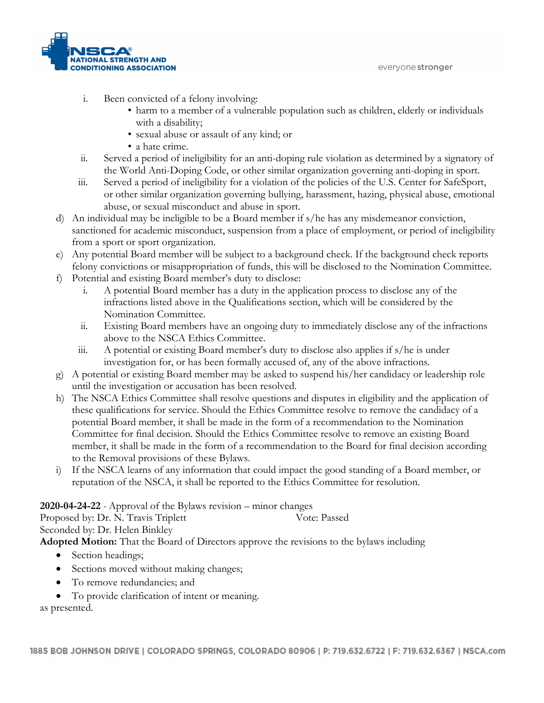

- i. Been convicted of a felony involving:
	- harm to a member of a vulnerable population such as children, elderly or individuals with a disability;
	- sexual abuse or assault of any kind; or
	- a hate crime.
- ii. Served a period of ineligibility for an anti-doping rule violation as determined by a signatory of the World Anti-Doping Code, or other similar organization governing anti-doping in sport.
- iii. Served a period of ineligibility for a violation of the policies of the U.S. Center for SafeSport, or other similar organization governing bullying, harassment, hazing, physical abuse, emotional abuse, or sexual misconduct and abuse in sport.
- d) An individual may be ineligible to be a Board member if s/he has any misdemeanor conviction, sanctioned for academic misconduct, suspension from a place of employment, or period of ineligibility from a sport or sport organization.
- e) Any potential Board member will be subject to a background check. If the background check reports felony convictions or misappropriation of funds, this will be disclosed to the Nomination Committee.
- f) Potential and existing Board member's duty to disclose:
	- i. A potential Board member has a duty in the application process to disclose any of the infractions listed above in the Qualifications section, which will be considered by the Nomination Committee.
	- ii. Existing Board members have an ongoing duty to immediately disclose any of the infractions above to the NSCA Ethics Committee.
	- iii. A potential or existing Board member's duty to disclose also applies if s/he is under investigation for, or has been formally accused of, any of the above infractions.
- g) A potential or existing Board member may be asked to suspend his/her candidacy or leadership role until the investigation or accusation has been resolved.
- h) The NSCA Ethics Committee shall resolve questions and disputes in eligibility and the application of these qualifications for service. Should the Ethics Committee resolve to remove the candidacy of a potential Board member, it shall be made in the form of a recommendation to the Nomination Committee for final decision. Should the Ethics Committee resolve to remove an existing Board member, it shall be made in the form of a recommendation to the Board for final decision according to the Removal provisions of these Bylaws.
- i) If the NSCA learns of any information that could impact the good standing of a Board member, or reputation of the NSCA, it shall be reported to the Ethics Committee for resolution.

# **2020-04-24-22** - Approval of the Bylaws revision – minor changes

Proposed by: Dr. N. Travis Triplett Vote: Passed Seconded by: Dr. Helen Binkley

**Adopted Motion:** That the Board of Directors approve the revisions to the bylaws including

- Section headings;
- Sections moved without making changes;
- To remove redundancies; and
- To provide clarification of intent or meaning.

as presented.